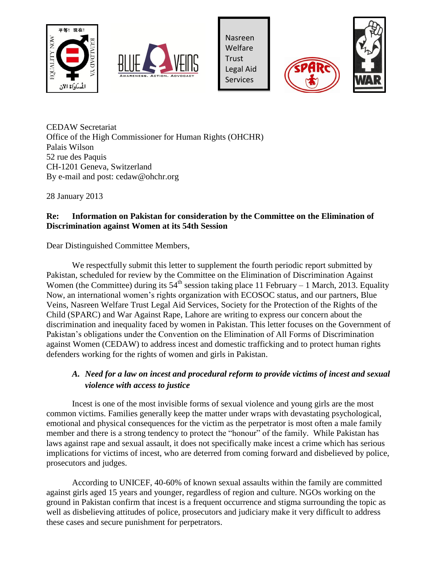



Nasreen Welfare Trust Legal Aid Services





CEDAW Secretariat Office of the High Commissioner for Human Rights (OHCHR) Palais Wilson 52 rue des Paquis CH-1201 Geneva, Switzerland By e-mail and post: cedaw@ohchr.org

28 January 2013

# **Re: Information on Pakistan for consideration by the Committee on the Elimination of Discrimination against Women at its 54th Session**

Dear Distinguished Committee Members,

We respectfully submit this letter to supplement the fourth periodic report submitted by Pakistan, scheduled for review by the Committee on the Elimination of Discrimination Against Women (the Committee) during its  $54<sup>th</sup>$  session taking place 11 February – 1 March, 2013. Equality Now, an international women's rights organization with ECOSOC status, and our partners, Blue Veins, Nasreen Welfare Trust Legal Aid Services, Society for the Protection of the Rights of the Child (SPARC) and War Against Rape, Lahore are writing to express our concern about the discrimination and inequality faced by women in Pakistan. This letter focuses on the Government of Pakistan's obligations under the Convention on the Elimination of All Forms of Discrimination against Women (CEDAW) to address incest and domestic trafficking and to protect human rights defenders working for the rights of women and girls in Pakistan.

# *A. Need for a law on incest and procedural reform to provide victims of incest and sexual violence with access to justice*

Incest is one of the most invisible forms of sexual violence and young girls are the most common victims. Families generally keep the matter under wraps with devastating psychological, emotional and physical consequences for the victim as the perpetrator is most often a male family member and there is a strong tendency to protect the "honour" of the family. While Pakistan has laws against rape and sexual assault, it does not specifically make incest a crime which has serious implications for victims of incest, who are deterred from coming forward and disbelieved by police, prosecutors and judges.

According to UNICEF, 40-60% of known sexual assaults within the family are committed against girls aged 15 years and younger, regardless of region and culture. NGOs working on the ground in Pakistan confirm that incest is a frequent occurrence and stigma surrounding the topic as well as disbelieving attitudes of police, prosecutors and judiciary make it very difficult to address these cases and secure punishment for perpetrators.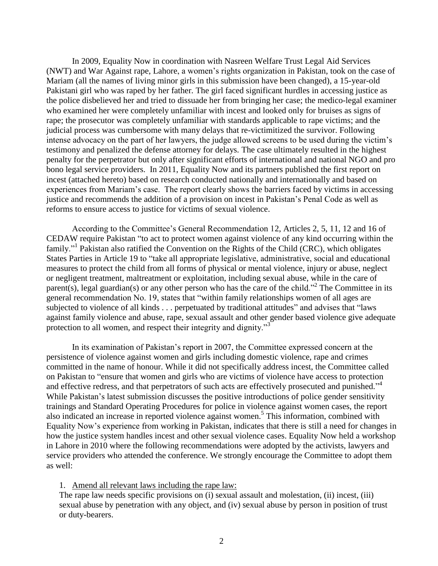In 2009, Equality Now in coordination with Nasreen Welfare Trust Legal Aid Services (NWT) and War Against rape, Lahore, a women's rights organization in Pakistan, took on the case of Mariam (all the names of living minor girls in this submission have been changed), a 15-year-old Pakistani girl who was raped by her father. The girl faced significant hurdles in accessing justice as the police disbelieved her and tried to dissuade her from bringing her case; the medico-legal examiner who examined her were completely unfamiliar with incest and looked only for bruises as signs of rape; the prosecutor was completely unfamiliar with standards applicable to rape victims; and the judicial process was cumbersome with many delays that re-victimitized the survivor. Following intense advocacy on the part of her lawyers, the judge allowed screens to be used during the victim's testimony and penalized the defense attorney for delays. The case ultimately resulted in the highest penalty for the perpetrator but only after significant efforts of international and national NGO and pro bono legal service providers. In 2011, Equality Now and its partners published the first report on incest (attached hereto) based on research conducted nationally and internationally and based on experiences from Mariam's case. The report clearly shows the barriers faced by victims in accessing justice and recommends the addition of a provision on incest in Pakistan's Penal Code as well as reforms to ensure access to justice for victims of sexual violence.

<span id="page-1-0"></span>According to the Committee's General Recommendation 12, Articles 2, 5, 11, 12 and 16 of CEDAW require Pakistan "to act to protect women against violence of any kind occurring within the family."<sup>1</sup> Pakistan also ratified the Convention on the Rights of the Child (CRC), which obligates States Parties in Article 19 to "take all appropriate legislative, administrative, social and educational measures to protect the child from all forms of physical or mental violence, injury or abuse, neglect or negligent treatment, maltreatment or exploitation, including sexual abuse, while in the care of parent(s), legal guardian(s) or any other person who has the care of the child."<sup>2</sup> The Committee in its general recommendation No. 19, states that "within family relationships women of all ages are subjected to violence of all kinds . . . perpetuated by traditional attitudes" and advises that "laws against family violence and abuse, rape, sexual assault and other gender based violence give adequate protection to all women, and respect their integrity and dignity.<sup>33</sup>

In its examination of Pakistan's report in 2007, the Committee expressed concern at the persistence of violence against women and girls including domestic violence, rape and crimes committed in the name of honour. While it did not specifically address incest, the Committee called on Pakistan to "ensure that women and girls who are victims of violence have access to protection and effective redress, and that perpetrators of such acts are effectively prosecuted and punished."<sup>4</sup> While Pakistan's latest submission discusses the positive introductions of police gender sensitivity trainings and Standard Operating Procedures for police in violence against women cases, the report also indicated an increase in reported violence against women.<sup>5</sup> This information, combined with Equality Now's experience from working in Pakistan, indicates that there is still a need for changes in how the justice system handles incest and other sexual violence cases. Equality Now held a workshop in Lahore in 2010 where the following recommendations were adopted by the activists, lawyers and service providers who attended the conference. We strongly encourage the Committee to adopt them as well:

#### <span id="page-1-1"></span>1. Amend all relevant laws including the rape law:

The rape law needs specific provisions on (i) sexual assault and molestation, (ii) incest, (iii) sexual abuse by penetration with any object, and (iv) sexual abuse by person in position of trust or duty-bearers.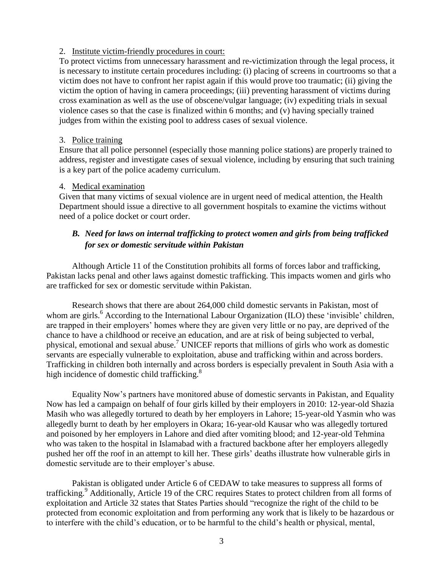### 2. Institute victim-friendly procedures in court:

To protect victims from unnecessary harassment and re-victimization through the legal process, it is necessary to institute certain procedures including: (i) placing of screens in courtrooms so that a victim does not have to confront her rapist again if this would prove too traumatic; (ii) giving the victim the option of having in camera proceedings; (iii) preventing harassment of victims during cross examination as well as the use of obscene/vulgar language; (iv) expediting trials in sexual violence cases so that the case is finalized within 6 months; and (v) having specially trained judges from within the existing pool to address cases of sexual violence.

### 3. Police training

Ensure that all police personnel (especially those manning police stations) are properly trained to address, register and investigate cases of sexual violence, including by ensuring that such training is a key part of the police academy curriculum.

### 4. Medical examination

Given that many victims of sexual violence are in urgent need of medical attention, the Health Department should issue a directive to all government hospitals to examine the victims without need of a police docket or court order.

# *B. Need for laws on internal trafficking to protect women and girls from being trafficked for sex or domestic servitude within Pakistan*

Although Article 11 of the Constitution prohibits all forms of forces labor and trafficking, Pakistan lacks penal and other laws against domestic trafficking. This impacts women and girls who are trafficked for sex or domestic servitude within Pakistan.

Research shows that there are about 264,000 child domestic servants in Pakistan, most of whom are girls.<sup>6</sup> According to the International Labour Organization (ILO) these 'invisible' children, are trapped in their employers' homes where they are given very little or no pay, are deprived of the chance to have a childhood or receive an education, and are at risk of being subjected to verbal, physical, emotional and sexual abuse.<sup>7</sup> UNICEF reports that millions of girls who work as domestic servants are especially vulnerable to exploitation, abuse and trafficking within and across borders. Trafficking in children both internally and across borders is especially prevalent in South Asia with a high incidence of domestic child trafficking.<sup>8</sup>

Equality Now's partners have monitored abuse of domestic servants in Pakistan, and Equality Now has led a campaign on behalf of four girls killed by their employers in 2010: 12-year-old Shazia Masih who was allegedly tortured to death by her employers in Lahore; 15-year-old Yasmin who was allegedly burnt to death by her employers in Okara; 16-year-old Kausar who was allegedly tortured and poisoned by her employers in Lahore and died after vomiting blood; and 12-year-old Tehmina who was taken to the hospital in Islamabad with a fractured backbone after her employers allegedly pushed her off the roof in an attempt to kill her. These girls' deaths illustrate how vulnerable girls in domestic servitude are to their employer's abuse.

Pakistan is obligated under Article 6 of CEDAW to take measures to suppress all forms of trafficking.<sup>9</sup> Additionally, Article 19 of the CRC requires States to protect children from all forms of exploitation and Article 32 states that States Parties should "recognize the right of the child to be protected from economic exploitation and from performing any work that is likely to be hazardous or to interfere with the child's education, or to be harmful to the child's health or physical, mental,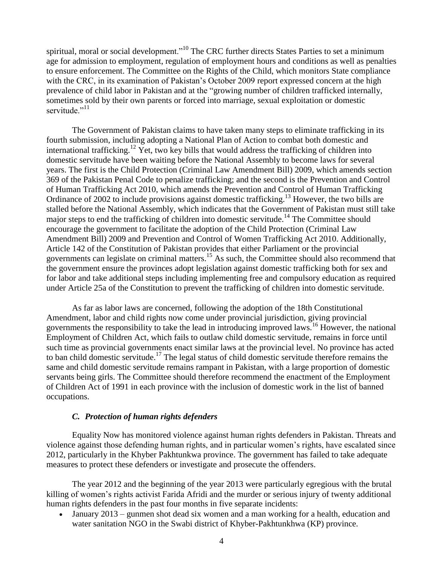spiritual, moral or social development."<sup>10</sup> The CRC further directs States Parties to set a minimum age for admission to employment, regulation of employment hours and conditions as well as penalties to ensure enforcement. The Committee on the Rights of the Child, which monitors State compliance with the CRC, in its examination of Pakistan's October 2009 report expressed concern at the high prevalence of child labor in Pakistan and at the "growing number of children trafficked internally, sometimes sold by their own parents or forced into marriage, sexual exploitation or domestic servitude<sup>"11</sup>

The Government of Pakistan claims to have taken many steps to eliminate trafficking in its fourth submission, including adopting a National Plan of Action to combat both domestic and international trafficking.<sup>12</sup> Yet, two key bills that would address the trafficking of children into domestic servitude have been waiting before the National Assembly to become laws for several years. The first is the Child Protection (Criminal Law Amendment Bill) 2009, which amends section 369 of the Pakistan Penal Code to penalize trafficking; and the second is the Prevention and Control of Human Trafficking Act 2010, which amends the Prevention and Control of Human Trafficking Ordinance of 2002 to include provisions against domestic trafficking.<sup>13</sup> However, the two bills are stalled before the National Assembly, which indicates that the Government of Pakistan must still take major steps to end the trafficking of children into domestic servitude.<sup>14</sup> The Committee should encourage the government to facilitate the adoption of the Child Protection (Criminal Law Amendment Bill) 2009 and Prevention and Control of Women Trafficking Act 2010. Additionally, Article 142 of the Constitution of Pakistan provides that either Parliament or the provincial governments can legislate on criminal matters. <sup>15</sup> As such, the Committee should also recommend that the government ensure the provinces adopt legislation against domestic trafficking both for sex and for labor and take additional steps including implementing free and compulsory education as required under Article 25a of the Constitution to prevent the trafficking of children into domestic servitude.

As far as labor laws are concerned, following the adoption of the 18th Constitutional Amendment, labor and child rights now come under provincial jurisdiction, giving provincial governments the responsibility to take the lead in introducing improved laws.<sup>16</sup> However, the national Employment of Children Act, which fails to outlaw child domestic servitude, remains in force until such time as provincial governments enact similar laws at the provincial level. No province has acted to ban child domestic servitude.<sup>17</sup> The legal status of child domestic servitude therefore remains the same and child domestic servitude remains rampant in Pakistan, with a large proportion of domestic servants being girls. The Committee should therefore recommend the enactment of the Employment of Children Act of 1991 in each province with the inclusion of domestic work in the list of banned occupations.

### *C. Protection of human rights defenders*

Equality Now has monitored violence against human rights defenders in Pakistan. Threats and violence against those defending human rights, and in particular women's rights, have escalated since 2012, particularly in the Khyber Pakhtunkwa province. The government has failed to take adequate measures to protect these defenders or investigate and prosecute the offenders.

The year 2012 and the beginning of the year 2013 were particularly egregious with the brutal killing of women's rights activist Farida Afridi and the murder or serious injury of twenty additional human rights defenders in the past four months in five separate incidents:

• January 2013 – gunmen shot dead six women and a man working for a health, education and water sanitation NGO in the Swabi district of Khyber-Pakhtunkhwa (KP) province.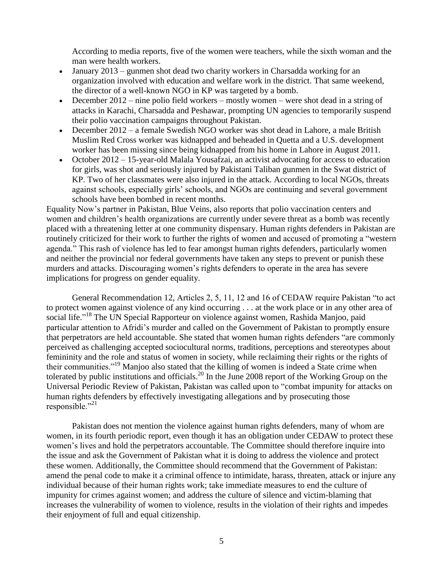According to media reports, five of the women were teachers, while the sixth woman and the man were health workers.

- January 2013 gunmen shot dead two charity workers in Charsadda working for an organization involved with education and welfare work in the district. That same weekend, the director of a well-known NGO in KP was targeted by a bomb.
- December 2012 nine polio field workers mostly women were shot dead in a string of attacks in Karachi, Charsadda and Peshawar, prompting UN agencies to temporarily suspend their polio vaccination campaigns throughout Pakistan.
- December 2012 a female Swedish NGO worker was shot dead in Lahore, a male British Muslim Red Cross worker was kidnapped and beheaded in Quetta and a U.S. development worker has been missing since being kidnapped from his home in Lahore in August 2011.
- October 2012 15-year-old Malala Yousafzai, an activist advocating for access to education for girls, was shot and seriously injured by Pakistani Taliban gunmen in the Swat district of KP. Two of her classmates were also injured in the attack. According to local NGOs, threats against schools, especially girls' schools, and NGOs are continuing and several government schools have been bombed in recent months.

Equality Now's partner in Pakistan, Blue Veins, also reports that polio vaccination centers and women and children's health organizations are currently under severe threat as a bomb was recently placed with a threatening letter at one community dispensary. Human rights defenders in Pakistan are routinely criticized for their work to further the rights of women and accused of promoting a "western agenda." This rash of violence has led to fear amongst human rights defenders, particularly women and neither the provincial nor federal governments have taken any steps to prevent or punish these murders and attacks. Discouraging women's rights defenders to operate in the area has severe implications for progress on gender equality.

General Recommendation 12, Articles 2, 5, 11, 12 and 16 of CEDAW require Pakistan "to act to protect women against violence of any kind occurring . . . at the work place or in any other area of social life."<sup>18</sup> The UN Special Rapporteur on violence against women, Rashida Manjoo, paid particular attention to Afridi's murder and called on the Government of Pakistan to promptly ensure that perpetrators are held accountable. She stated that women human rights defenders "are commonly perceived as challenging accepted sociocultural norms, traditions, perceptions and stereotypes about femininity and the role and status of women in society, while reclaiming their rights or the rights of their communities."<sup>19</sup> Manjoo also stated that the killing of women is indeed a State crime when tolerated by public institutions and officials.<sup>20</sup> In the June 2008 report of the Working Group on the Universal Periodic Review of Pakistan, Pakistan was called upon to "combat impunity for attacks on human rights defenders by effectively investigating allegations and by prosecuting those responsible." $^{21}$ 

Pakistan does not mention the violence against human rights defenders, many of whom are women, in its fourth periodic report, even though it has an obligation under CEDAW to protect these women's lives and hold the perpetrators accountable. The Committee should therefore inquire into the issue and ask the Government of Pakistan what it is doing to address the violence and protect these women. Additionally, the Committee should recommend that the Government of Pakistan: amend the penal code to make it a criminal offence to intimidate, harass, threaten, attack or injure any individual because of their human rights work; take immediate measures to end the culture of impunity for crimes against women; and address the culture of silence and victim-blaming that increases the vulnerability of women to violence, results in the violation of their rights and impedes their enjoyment of full and equal citizenship.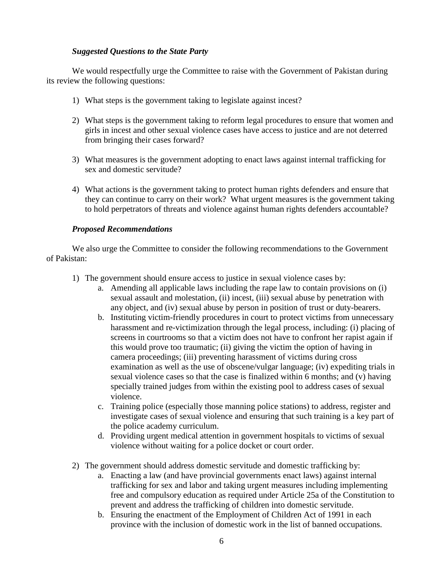### *Suggested Questions to the State Party*

We would respectfully urge the Committee to raise with the Government of Pakistan during its review the following questions:

- 1) What steps is the government taking to legislate against incest?
- 2) What steps is the government taking to reform legal procedures to ensure that women and girls in incest and other sexual violence cases have access to justice and are not deterred from bringing their cases forward?
- 3) What measures is the government adopting to enact laws against internal trafficking for sex and domestic servitude?
- 4) What actions is the government taking to protect human rights defenders and ensure that they can continue to carry on their work? What urgent measures is the government taking to hold perpetrators of threats and violence against human rights defenders accountable?

### *Proposed Recommendations*

We also urge the Committee to consider the following recommendations to the Government of Pakistan:

- 1) The government should ensure access to justice in sexual violence cases by:
	- a. Amending all applicable laws including the rape law to contain provisions on (i) sexual assault and molestation, (ii) incest, (iii) sexual abuse by penetration with any object, and (iv) sexual abuse by person in position of trust or duty-bearers.
	- b. Instituting victim-friendly procedures in court to protect victims from unnecessary harassment and re-victimization through the legal process, including: (i) placing of screens in courtrooms so that a victim does not have to confront her rapist again if this would prove too traumatic; (ii) giving the victim the option of having in camera proceedings; (iii) preventing harassment of victims during cross examination as well as the use of obscene/vulgar language; (iv) expediting trials in sexual violence cases so that the case is finalized within 6 months; and (v) having specially trained judges from within the existing pool to address cases of sexual violence.
	- c. Training police (especially those manning police stations) to address, register and investigate cases of sexual violence and ensuring that such training is a key part of the police academy curriculum.
	- d. Providing urgent medical attention in government hospitals to victims of sexual violence without waiting for a police docket or court order.
- 2) The government should address domestic servitude and domestic trafficking by:
	- a. Enacting a law (and have provincial governments enact laws) against internal trafficking for sex and labor and taking urgent measures including implementing free and compulsory education as required under Article 25a of the Constitution to prevent and address the trafficking of children into domestic servitude.
	- b. Ensuring the enactment of the Employment of Children Act of 1991 in each province with the inclusion of domestic work in the list of banned occupations.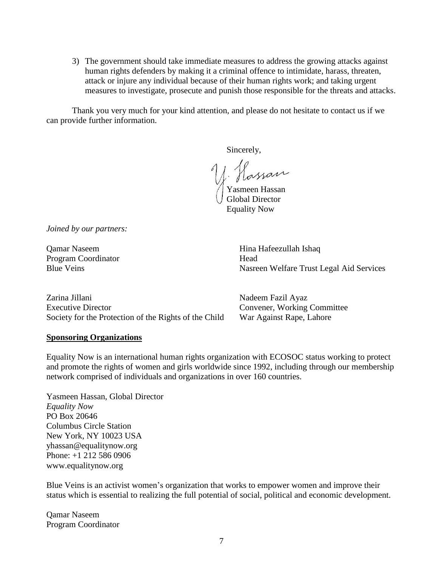3) The government should take immediate measures to address the growing attacks against human rights defenders by making it a criminal offence to intimidate, harass, threaten, attack or injure any individual because of their human rights work; and taking urgent measures to investigate, prosecute and punish those responsible for the threats and attacks.

Thank you very much for your kind attention, and please do not hesitate to contact us if we can provide further information.

Sincerely,

Hassan Yasmeen Hassan

Global Director Equality Now

*Joined by our partners:*

Program Coordinator **Head** 

Qamar Naseem Hina Hafeezullah Ishaq Blue Veins Nasreen Welfare Trust Legal Aid Services

| Zarina Jillani                                        | Nadeem Fazil Ayaz           |
|-------------------------------------------------------|-----------------------------|
| <b>Executive Director</b>                             | Convener, Working Committee |
| Society for the Protection of the Rights of the Child | War Against Rape, Lahore    |

#### **Sponsoring Organizations**

Equality Now is an international human rights organization with ECOSOC status working to protect and promote the rights of women and girls worldwide since 1992, including through our membership network comprised of individuals and organizations in over 160 countries.

Yasmeen Hassan, Global Director *Equality Now* PO Box 20646 Columbus Circle Station New York, NY 10023 USA yhassan@equalitynow.org Phone: +1 212 586 0906 www.equalitynow.org

Blue Veins is an activist women's organization that works to empower women and improve their status which is essential to realizing the full potential of social, political and economic development.

Qamar Naseem Program Coordinator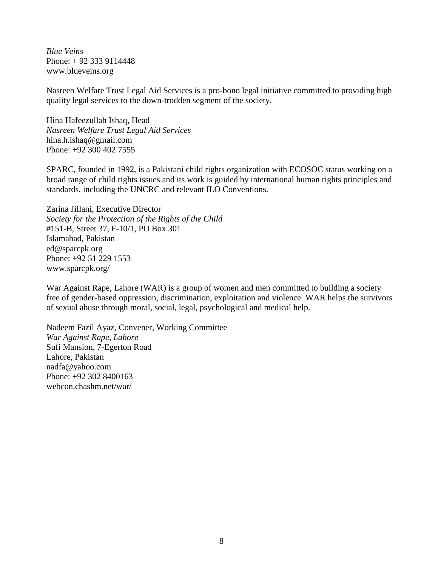*Blue Veins* Phone: + 92 333 9114448 www.blueveins.org

Nasreen Welfare Trust Legal Aid Services is a pro-bono legal initiative committed to providing high quality legal services to the down-trodden segment of the society.

Hina Hafeezullah Ishaq, Head *Nasreen Welfare Trust Legal Aid Services* [hina.h.ishaq@gmail.com](mailto:hina.h.ishaq@gmail.com)  Phone: +92 300 402 7555

SPARC, founded in 1992, is a Pakistani child rights organization with ECOSOC status working on a broad range of child rights issues and its work is guided by international human rights principles and standards, including the UNCRC and relevant ILO Conventions.

Zarina Jillani, Executive Director *Society for the Protection of the Rights of the Child* #151-B, Street 37, F-10/1, PO Box 301 Islamabad, Pakistan ed@sparcpk.org Phone: +92 51 229 1553 www.sparcpk.org/

War Against Rape, Lahore (WAR) is a group of women and men committed to building a society free of gender-based oppression, discrimination, exploitation and violence. WAR helps the survivors of sexual abuse through moral, social, legal, psychological and medical help.

Nadeem Fazil Ayaz, Convener, Working Committee *War Against Rape, Lahore* Sufi Mansion, 7-Egerton Road Lahore, Pakistan nadfa@yahoo.com Phone: [+92 302 8400163](tel:%2B92%20%280%29302%208400163) webcon.chashm.net/war/